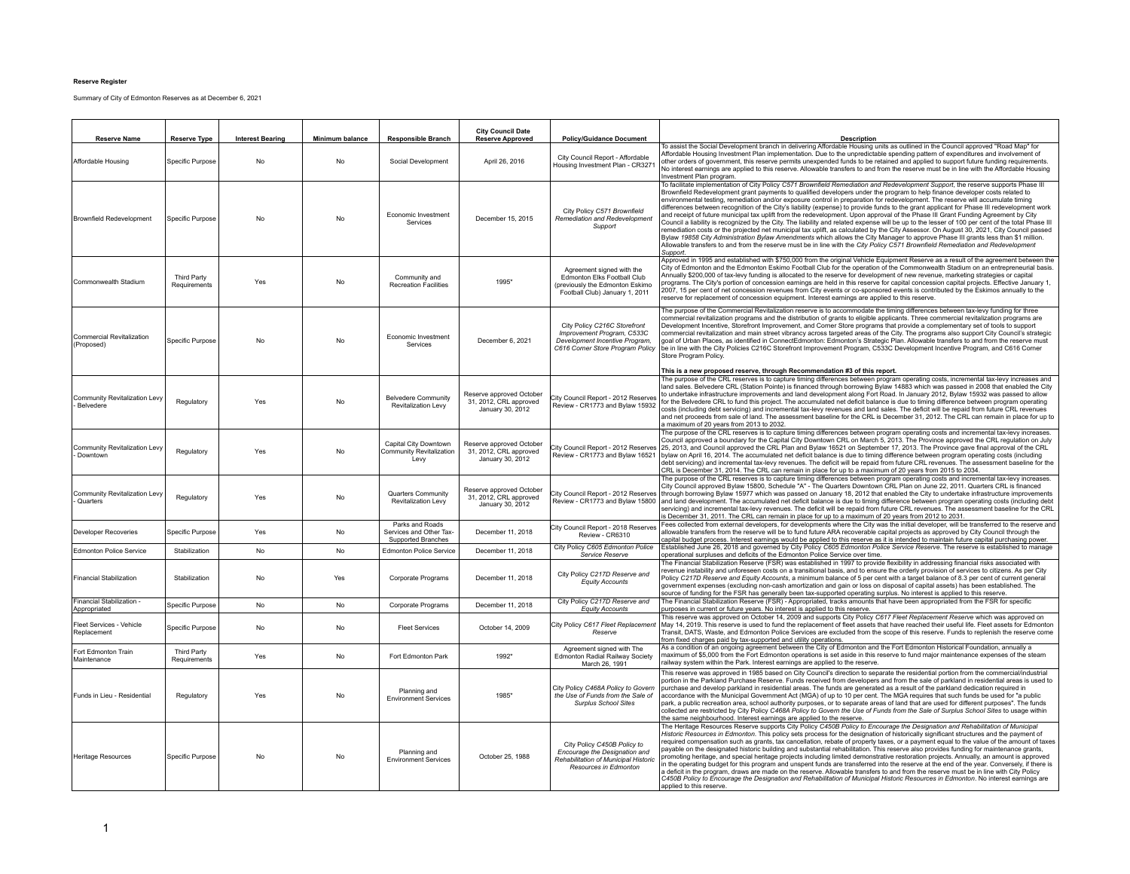## **Reserve Register**

Summary of City of Edmonton Reserves as at December 6, 2021

| <b>Reserve Name</b>                        | <b>Reserve Type</b>                | <b>Interest Bearing</b> | Minimum balance | <b>Responsible Branch</b>                                        | <b>City Council Date</b><br><b>Reserve Approved</b>                    | <b>Policy/Guidance Document</b>                                                                                                      | <b>Description</b>                                                                                                                                                                                                                                                                                                                                                                                                                                                                                                                                                                                                                                                                                                                                                                                                                                                                                                                                                                                                                                                                                                                                                                                                                                                         |
|--------------------------------------------|------------------------------------|-------------------------|-----------------|------------------------------------------------------------------|------------------------------------------------------------------------|--------------------------------------------------------------------------------------------------------------------------------------|----------------------------------------------------------------------------------------------------------------------------------------------------------------------------------------------------------------------------------------------------------------------------------------------------------------------------------------------------------------------------------------------------------------------------------------------------------------------------------------------------------------------------------------------------------------------------------------------------------------------------------------------------------------------------------------------------------------------------------------------------------------------------------------------------------------------------------------------------------------------------------------------------------------------------------------------------------------------------------------------------------------------------------------------------------------------------------------------------------------------------------------------------------------------------------------------------------------------------------------------------------------------------|
| Affordable Housing                         | Specific Purpose                   | No                      | No              | Social Development                                               | April 26, 2016                                                         | City Council Report - Affordable<br>Housing Investment Plan - CR3271                                                                 | To assist the Social Development branch in delivering Affordable Housing units as outlined in the Council approved "Road Map" for<br>Affordable Housing Investment Plan implementation. Due to the unpredictable spending pattern of expenditures and involvement of<br>other orders of government, this reserve permits unexpended funds to be retained and applied to support future funding requirements.<br>No interest earnings are applied to this reserve. Allowable transfers to and from the reserve must be in line with the Affordable Housing<br>Investment Plan program.                                                                                                                                                                                                                                                                                                                                                                                                                                                                                                                                                                                                                                                                                      |
| <b>Brownfield Redevelopment</b>            | Specific Purpose                   | No                      | No              | Economic Investment<br>Services                                  | December 15, 2015                                                      | City Policy C571 Brownfield<br>Remediation and Redevelopment<br>Support                                                              | To facilitate implementation of City Policy C571 Brownfield Remediation and Redevelopment Support, the reserve supports Phase III<br>Brownfield Redevelopment grant payments to qualified developers under the program to help finance developer costs related to<br>environmental testing, remediation and/or exposure control in preparation for redevelopment. The reserve will accumulate timing<br>differences between recognition of the City's liability (expense) to provide funds to the grant applicant for Phase III redevelopment work<br>and receipt of future municipal tax uplift from the redevelopment. Upon approval of the Phase III Grant Funding Agreement by City<br>Council a liability is recognized by the City. The liability and related expense will be up to the lesser of 100 per cent of the total Phase III<br>remediation costs or the projected net municipal tax uplift, as calculated by the City Assessor. On August 30, 2021, City Council passed<br>Bylaw 19858 City Administration Bylaw Amendments which allows the City Manager to approve Phase III grants less than \$1 million.<br>Allowable transfers to and from the reserve must be in line with the City Policy C571 Brownfield Remediation and Redevelopment<br>Support. |
| Commonwealth Stadium                       | <b>Third Party</b><br>Requirements | Yes                     | No              | Community and<br><b>Recreation Facilities</b>                    | 1995*                                                                  | Agreement signed with the<br>Edmonton Elks Football Club<br>(previously the Edmonton Eskimo<br>Football Club) January 1, 2011        | Approved in 1995 and established with \$750,000 from the original Vehicle Equipment Reserve as a result of the agreement between the<br>City of Edmonton and the Edmonton Eskimo Football Club for the operation of the Commonwealth Stadium on an entrepreneurial basis.<br>Annually \$200,000 of tax-levy funding is allocated to the reserve for development of new revenue, marketing strategies or capital<br>programs. The City's portion of concession earnings are held in this reserve for capital concession capital projects. Effective January 1,<br>2007, 15 per cent of net concession revenues from City events or co-sponsored events is contributed by the Eskimos annually to the<br>reserve for replacement of concession equipment. Interest earnings are applied to this reserve.                                                                                                                                                                                                                                                                                                                                                                                                                                                                     |
| Commercial Revitalization<br>(Proposed)    | Specific Purpose                   | No                      | N <sub>o</sub>  | Fconomic Investment<br>Services                                  | December 6, 2021                                                       | City Policy C216C Storefront<br>Improvement Program, C533C<br>Development Incentive Program.<br>C616 Corner Store Program Policy     | The purpose of the Commercial Revitalization reserve is to accommodate the timing differences between tax-levy funding for three<br>commercial revitalization programs and the distribution of grants to eligible applicants. Three commercial revitalization programs are<br>Development Incentive, Storefront Improvement, and Corner Store programs that provide a complementary set of tools to support<br>commercial revitalization and main street vibrancy across targeted areas of the City. The programs also support City Council's strategic<br>goal of Urban Places, as identified in ConnectEdmonton: Edmonton's Strategic Plan. Allowable transfers to and from the reserve must<br>be in line with the City Policies C216C Storefront Improvement Program, C533C Development Incentive Program, and C616 Corner<br>Store Program Policy.                                                                                                                                                                                                                                                                                                                                                                                                                    |
| Community Revitalization Levy<br>Belvedere | Regulatory                         | Yes                     | No              | <b>Belvedere Community</b><br>Revitalization Levy                | Reserve approved October<br>31, 2012, CRL approved<br>January 30, 2012 | City Council Report - 2012 Reserves<br>Review - CR1773 and Bylaw 15932                                                               | This is a new proposed reserve, through Recommendation #3 of this report.<br>The purpose of the CRL reserves is to capture timing differences between program operating costs, incremental tax-levy increases and<br>land sales. Belvedere CRL (Station Pointe) is financed through borrowing Bylaw 14883 which was passed in 2008 that enabled the City<br>to undertake infrastructure improvements and land development along Fort Road. In January 2012, Bylaw 15932 was passed to allow<br>for the Belvedere CRL to fund this project. The accumulated net deficit balance is due to timing difference between program operating<br>costs (including debt servicing) and incremental tax-levy revenues and land sales. The deficit will be repaid from future CRL revenues<br>and net proceeds from sale of land. The assessment baseline for the CRL is December 31, 2012. The CRL can remain in place for up to<br>a maximum of 20 years from 2013 to 2032.                                                                                                                                                                                                                                                                                                          |
| Community Revitalization Levy<br>Downtown  | Regulatory                         | Yes                     | <b>No</b>       | Capital City Downtown<br>Community Revitalization<br>Levy        | Reserve approved October<br>31, 2012. CRL approved<br>January 30, 2012 | City Council Report - 2012 Reserves<br>Review - CR1773 and Bylaw 16521                                                               | The purpose of the CRL reserves is to capture timing differences between program operating costs and incremental tax-levy increases.<br>Council approved a boundary for the Capital City Downtown CRL on March 5, 2013. The Province approved the CRL requiation on July<br>25, 2013, and Council approved the CRL Plan and Bylaw 16521 on September 17, 2013. The Province gave final approval of the CRL<br>bylaw on April 16, 2014. The accumulated net deficit balance is due to timing difference between program operating costs (including<br>debt servicing) and incremental tax-levy revenues. The deficit will be repaid from future CRL revenues. The assessment baseline for the<br>CRL is December 31, 2014. The CRL can remain in place for up to a maximum of 20 years from 2015 to 2034.                                                                                                                                                                                                                                                                                                                                                                                                                                                                   |
| Community Revitalization Levy<br>Quarters  | Regulatory                         | Yes                     | No              | Quarters Community<br>Revitalization Levy                        | Reserve approved October<br>31, 2012, CRL approved<br>January 30, 2012 | City Council Report - 2012 Reserves<br>Review - CR1773 and Bylaw 15800                                                               | The purpose of the CRL reserves is to capture timing differences between program operating costs and incremental tax-levy increases.<br>City Council approved Bylaw 15800, Schedule "A" - The Quarters Downtown CRL Plan on June 22, 2011. Quarters CRL is financed<br>through borrowing Bylaw 15977 which was passed on January 18, 2012 that enabled the City to undertake infrastructure improvements<br>and land development. The accumulated net deficit balance is due to timing difference between program operating costs (including debt<br>servicing) and incremental tax-levy revenues. The deficit will be repaid from future CRL revenues. The assessment baseline for the CRL<br>is December 31, 2011. The CRL can remain in place for up to a maximum of 20 years from 2012 to 2031.                                                                                                                                                                                                                                                                                                                                                                                                                                                                        |
| Developer Recoveries                       | Specific Purpose                   | Yes                     | No              | Parks and Roads<br>Services and Other Tax-<br>Supported Branches | December 11, 2018                                                      | City Council Report - 2018 Reserves<br>Review - CR6310                                                                               | Fees collected from external developers, for developments where the City was the initial developer, will be transferred to the reserve and<br>allowable transfers from the reserve will be to fund future ARA recoverable capital projects as approved by City Council through the<br>capital budget process. Interest earnings would be applied to this reserve as it is intended to maintain future capital purchasing power.                                                                                                                                                                                                                                                                                                                                                                                                                                                                                                                                                                                                                                                                                                                                                                                                                                            |
| <b>Edmonton Police Service</b>             | Stabilization                      | No                      | No              | <b>Edmonton Police Service</b>                                   | December 11, 2018                                                      | City Policy C605 Edmonton Police<br>Service Reserve                                                                                  | Established June 26, 2018 and governed by City Policy C605 Edmonton Police Service Reserve. The reserve is established to manage<br>operational surpluses and deficits of the Edmonton Police Service over time.                                                                                                                                                                                                                                                                                                                                                                                                                                                                                                                                                                                                                                                                                                                                                                                                                                                                                                                                                                                                                                                           |
| <b>Financial Stabilization</b>             | Stabilization                      | No                      | Yes             | Corporate Programs                                               | December 11, 2018                                                      | City Policy C217D Reserve and<br>Equity Accounts                                                                                     | The Financial Stabilization Reserve (FSR) was established in 1997 to provide flexibility in addressing financial risks associated with<br>revenue instability and unforeseen costs on a transitional basis, and to ensure the orderly provision of services to citizens. As per City<br>Policy C217D Reserve and Equity Accounts, a minimum balance of 5 per cent with a target balance of 8.3 per cent of current general<br>government expenses (excluding non-cash amortization and gain or loss on disposal of capital assets) has been established. The<br>source of funding for the FSR has generally been tax-supported operating surplus. No interest is applied to this reserve.                                                                                                                                                                                                                                                                                                                                                                                                                                                                                                                                                                                  |
| Financial Stabilization -<br>Appropriated  | Specific Purpose                   | <b>No</b>               | No.             | Corporate Programs                                               | December 11, 2018                                                      | City Policy C217D Reserve and<br><b>Equity Accounts</b>                                                                              | The Financial Stabilization Reserve (FSR) - Appropriated, tracks amounts that have been appropriated from the FSR for specific<br>purposes in current or future years. No interest is applied to this reserve.                                                                                                                                                                                                                                                                                                                                                                                                                                                                                                                                                                                                                                                                                                                                                                                                                                                                                                                                                                                                                                                             |
| Fleet Services - Vehicle<br>Replacement    | Specific Purpose                   | No                      | No              | <b>Fleet Services</b>                                            | October 14, 2009                                                       | City Policy C617 Fleet Replacement<br>Reserve                                                                                        | This reserve was approved on October 14, 2009 and supports City Policy C617 Fleet Replacement Reserve which was approved on<br>May 14, 2019. This reserve is used to fund the replacement of fleet assets that have reached their useful life. Fleet assets for Edmonton<br>Transit, DATS, Waste, and Edmonton Police Services are excluded from the scope of this reserve. Funds to replenish the reserve come<br>from fixed charges paid by tax-supported and utility operations.                                                                                                                                                                                                                                                                                                                                                                                                                                                                                                                                                                                                                                                                                                                                                                                        |
| Fort Edmonton Train<br>Maintenance         | <b>Third Party</b><br>Requirements | Yes                     | <b>No</b>       | Fort Edmonton Park                                               | 1992*                                                                  | Agreement signed with The<br>Edmonton Radial Railway Society<br>March 26, 1991                                                       | As a condition of an ongoing agreement between the City of Edmonton and the Fort Edmonton Historical Foundation, annually a<br>maximum of \$5,000 from the Fort Edmonton operations is set aside in this reserve to fund major maintenance expenses of the steam<br>railway system within the Park. Interest earnings are applied to the reserve.                                                                                                                                                                                                                                                                                                                                                                                                                                                                                                                                                                                                                                                                                                                                                                                                                                                                                                                          |
| Funds in Lieu - Residential                | Regulatory                         | Yes                     | No              | Planning and<br><b>Environment Services</b>                      | 1985                                                                   | City Policy C468A Policy to Govern<br>the Use of Funds from the Sale of<br>Surplus School Sites                                      | This reserve was approved in 1985 based on City Council's direction to separate the residential portion from the commercial/industrial<br>portion in the Parkland Purchase Reserve. Funds received from developers and from the sale of parkland in residential areas is used to<br>purchase and develop parkland in residential areas. The funds are generated as a result of the parkland dedication required in<br>accordance with the Municipal Government Act (MGA) of up to 10 per cent. The MGA requires that such funds be used for "a public<br>park, a public recreation area, school authority purposes, or to separate areas of land that are used for different purposes". The funds<br>collected are restricted by City Policy C468A Policy to Govern the Use of Funds from the Sale of Surplus School Sites to usage within<br>the same neighbourhood. Interest earnings are applied to the reserve.                                                                                                                                                                                                                                                                                                                                                        |
| Heritage Resources                         | Specific Purpose                   | No                      | No              | Planning and<br><b>Fnvironment Services</b>                      | October 25, 1988                                                       | City Policy C450B Policy to<br>Encourage the Designation and<br><b>Rehabilitation of Municipal Historic</b><br>Resources in Edmonton | The Heritage Resources Reserve supports City Policy C450B Policy to Encourage the Designation and Rehabilitation of Municipal<br>Historic Resources in Edmonton. This policy sets process for the designation of historically significant structures and the payment of<br>required compensation such as grants, tax cancellation, rebate of property taxes, or a payment equal to the value of the amount of taxes<br>payable on the designated historic building and substantial rehabilitation. This reserve also provides funding for maintenance grants,<br>promoting heritage, and special heritage projects including limited demonstrative restoration projects. Annually, an amount is approved<br>in the operating budget for this program and unspent funds are transferred into the reserve at the end of the year. Conversely, if there is<br>a deficit in the program, draws are made on the reserve. Allowable transfers to and from the reserve must be in line with City Policy<br>C450B Policy to Encourage the Designation and Rehabilitation of Municipal Historic Resources in Edmonton. No interest earnings are<br>applied to this reserve.                                                                                                         |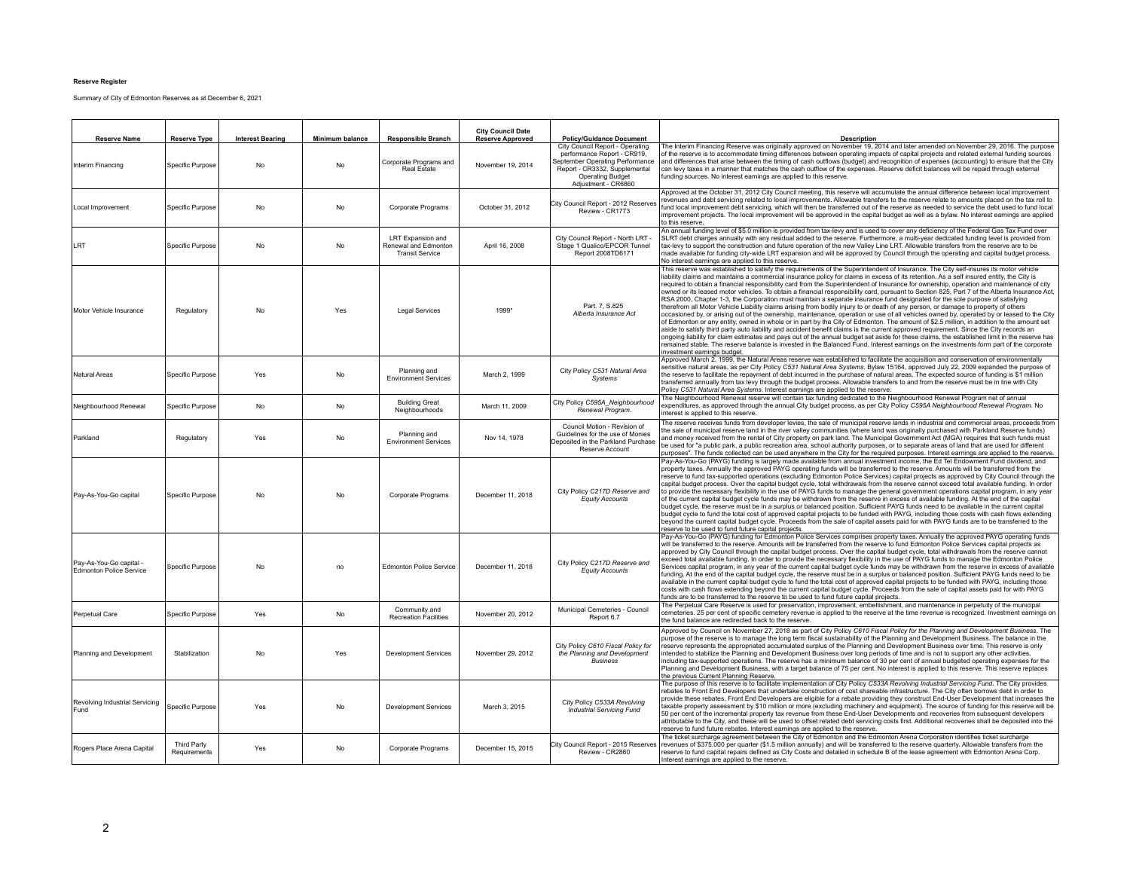## **Reserve Register**

Summary of City of Edmonton Reserves as at December 6, 2021

| <b>Reserve Name</b>                                | <b>Reserve Type</b>                | <b>Interest Bearing</b> | Minimum balance | <b>Responsible Branch</b>                                           | <b>City Council Date</b><br><b>Reserve Approved</b> | <b>Policy/Guidance Document</b>                                                                                                                                                      | <b>Description</b>                                                                                                                                                                                                                                                                                                                                                                                                                                                                                                                                                                                                                                                                                                                                                                                                                                                                                                                                                                                                                                                                                                                                                                                                                                                                                                                                                                                                                                                                                                                                                                                              |
|----------------------------------------------------|------------------------------------|-------------------------|-----------------|---------------------------------------------------------------------|-----------------------------------------------------|--------------------------------------------------------------------------------------------------------------------------------------------------------------------------------------|-----------------------------------------------------------------------------------------------------------------------------------------------------------------------------------------------------------------------------------------------------------------------------------------------------------------------------------------------------------------------------------------------------------------------------------------------------------------------------------------------------------------------------------------------------------------------------------------------------------------------------------------------------------------------------------------------------------------------------------------------------------------------------------------------------------------------------------------------------------------------------------------------------------------------------------------------------------------------------------------------------------------------------------------------------------------------------------------------------------------------------------------------------------------------------------------------------------------------------------------------------------------------------------------------------------------------------------------------------------------------------------------------------------------------------------------------------------------------------------------------------------------------------------------------------------------------------------------------------------------|
| Interim Financing                                  | Specific Purpose                   | No                      | <b>No</b>       | Corporate Programs and<br>Real Estate                               | November 19, 2014                                   | City Council Report - Operating<br>performance Report - CR919,<br>September Operating Performance<br>Report - CR3332, Supplemental<br><b>Operating Budget</b><br>Adjustment - CR6860 | The Interim Financing Reserve was originally approved on November 19, 2014 and later amended on November 29, 2016. The purpose<br>of the reserve is to accommodate timing differences between operating impacts of capital projects and related external funding sources<br>and differences that arise between the timing of cash outflows (budget) and recognition of expenses (accounting) to ensure that the City<br>can levy taxes in a manner that matches the cash outflow of the expenses. Reserve deficit balances will be repaid through external<br>funding sources. No interest earnings are applied to this reserve.                                                                                                                                                                                                                                                                                                                                                                                                                                                                                                                                                                                                                                                                                                                                                                                                                                                                                                                                                                                |
| Local Improvement                                  | Specific Purpose                   | No                      | No              | Corporate Programs                                                  | October 31, 2012                                    | City Council Report - 2012 Reserves<br>Review - CR1773                                                                                                                               | Approved at the October 31, 2012 City Council meeting, this reserve will accumulate the annual difference between local improvement<br>revenues and debt servicing related to local improvements. Allowable transfers to the reserve relate to amounts placed on the tax roll to<br>fund local improvement debt servicing, which will then be transferred out of the reserve as needed to service the debt used to fund local<br>improvement projects. The local improvement will be approved in the capital budget as well as a bylaw. No interest earnings are applied<br>to this reserve.                                                                                                                                                                                                                                                                                                                                                                                                                                                                                                                                                                                                                                                                                                                                                                                                                                                                                                                                                                                                                    |
| LRT                                                | Specific Purpose                   | No                      | No              | LRT Expansion and<br>Renewal and Edmonton<br><b>Transit Service</b> | April 16, 2008                                      | City Council Report - North LRT -<br>Stage 1 Qualico/EPCOR Tunnel<br>Report 2008TD6171                                                                                               | An annual funding level of \$5.0 million is provided from tax-levy and is used to cover any deficiency of the Federal Gas Tax Fund over<br>SLRT debt charges annually with any residual added to the reserve. Furthermore, a multi-year dedicated funding level is provided from<br>tax-levy to support the construction and future operation of the new Valley Line LRT. Allowable transfers from the reserve are to be<br>made available for funding city-wide LRT expansion and will be approved by Council through the operating and capital budget process.<br>No interest earnings are applied to this reserve.                                                                                                                                                                                                                                                                                                                                                                                                                                                                                                                                                                                                                                                                                                                                                                                                                                                                                                                                                                                           |
| Motor Vehicle Insurance                            | Regulatory                         | No                      | Yes             | <b>Legal Services</b>                                               | 1999*                                               | Part. 7, S.825<br>Alberta Insurance Act                                                                                                                                              | This reserve was established to satisfy the requirements of the Superintendent of Insurance. The City self-insures its motor vehicle<br>liability claims and maintains a commercial insurance policy for claims in excess of its retention. As a self insured entity, the City is<br>required to obtain a financial responsibility card from the Superintendent of Insurance for ownership, operation and maintenance of city<br>owned or its leased motor vehicles. To obtain a financial responsibility card, pursuant to Section 825, Part 7 of the Alberta Insurance Act,<br>RSA 2000. Chapter 1-3, the Corporation must maintain a separate insurance fund designated for the sole purpose of satisfying<br>therefrom all Motor Vehicle Liability claims arising from bodily injury to or death of any person, or damage to property of others<br>occasioned by, or arising out of the ownership, maintenance, operation or use of all vehicles owned by, operated by or leased to the City<br>of Edmonton or any entity, owned in whole or in part by the City of Edmonton. The amount of \$2.5 million, in addition to the amount set<br>aside to satisfy third party auto liability and accident benefit claims is the current approved requirement. Since the City records an<br>ongoing liability for claim estimates and pays out of the annual budget set aside for these claims, the established limit in the reserve has<br>remained stable. The reserve balance is invested in the Balanced Fund. Interest earnings on the investments form part of the corporate<br>investment earnings budget. |
| Natural Areas                                      | Specific Purpose                   | Yes                     | No              | Planning and<br><b>Environment Services</b>                         | March 2, 1999                                       | City Policy C531 Natural Area<br>Systems                                                                                                                                             | Approved March 2, 1999, the Natural Areas reserve was established to facilitate the acquisition and conservation of environmentally<br>sensitive natural areas, as per City Policy C531 Natural Area Systems. Bylaw 15164, approved July 22, 2009 expanded the purpose of<br>the reserve to facilitate the repayment of debt incurred in the purchase of natural areas. The expected source of funding is \$1 million<br>transferred annually from tax levy through the budget process. Allowable transfers to and from the reserve must be in line with City<br>Policy C531 Natural Area Systems. Interest earnings are applied to the reserve.                                                                                                                                                                                                                                                                                                                                                                                                                                                                                                                                                                                                                                                                                                                                                                                                                                                                                                                                                                |
| Neighbourhood Renewal                              | Specific Purpose                   | No                      | No              | <b>Building Great</b><br>Neighbourhoods                             | March 11, 2009                                      | City Policy C595A_Neighbourhood<br>Renewal Program.                                                                                                                                  | The Neighbourhood Renewal reserve will contain tax funding dedicated to the Neighbourhood Renewal Program net of annual<br>expenditures, as approved through the annual City budget process, as per City Policy C595A Neighbourhood Renewal Program. No<br>interest is applied to this reserve.                                                                                                                                                                                                                                                                                                                                                                                                                                                                                                                                                                                                                                                                                                                                                                                                                                                                                                                                                                                                                                                                                                                                                                                                                                                                                                                 |
| Parkland                                           | Regulatory                         | Yes                     | No              | Planning and<br><b>Environment Services</b>                         | Nov 14, 1978                                        | Council Motion - Revision of<br>Guidelines for the use of Monies<br>Deposited in the Parkland Purchase<br>Reserve Account                                                            | The reserve receives funds from developer levies, the sale of municipal reserve lands in industrial and commercial areas, proceeds from<br>the sale of municipal reserve land in the river valley communities (where land was originally purchased with Parkland Reserve funds)<br>and money received from the rental of City property on park land. The Municipal Government Act (MGA) requires that such funds must<br>be used for "a public park, a public recreation area, school authority purposes, or to separate areas of land that are used for different<br>purposes". The funds collected can be used anywhere in the City for the required purposes. Interest earnings are applied to the reserve.                                                                                                                                                                                                                                                                                                                                                                                                                                                                                                                                                                                                                                                                                                                                                                                                                                                                                                  |
| Pay-As-You-Go capital                              | Specific Purpose                   | No                      | No              | Corporate Programs                                                  | December 11, 2018                                   | City Policy C217D Reserve and<br><b>Equity Accounts</b>                                                                                                                              | Pay-As-You-Go (PAYG) funding is largely made available from annual investment income, the Ed Tel Endowment Fund dividend, and<br>property taxes. Annually the approved PAYG operating funds will be transferred to the reserve. Amounts will be transferred from the<br>reserve to fund tax-supported operations (excluding Edmonton Police Services) capital projects as approved by City Council through the<br>capital budget process. Over the capital budget cycle, total withdrawals from the reserve cannot exceed total available funding. In order<br>to provide the necessary flexibility in the use of PAYG funds to manage the general government operations capital program, in any year<br>of the current capital budget cycle funds may be withdrawn from the reserve in excess of available funding. At the end of the capital<br>budget cycle, the reserve must be in a surplus or balanced position. Sufficient PAYG funds need to be available in the current capital<br>budget cycle to fund the total cost of approved capital projects to be funded with PAYG, including those costs with cash flows extending<br>beyond the current capital budget cycle. Proceeds from the sale of capital assets paid for with PAYG funds are to be transferred to the<br>reserve to be used to fund future capital projects.                                                                                                                                                                                                                                                                          |
| Pay-As-You-Go capital -<br>Edmonton Police Service | Specific Purpose                   | No                      | no              | <b>Edmonton Police Service</b>                                      | December 11, 2018                                   | City Policy C217D Reserve and<br><b>Equity Accounts</b>                                                                                                                              | Pay-As-You-Go (PAYG) funding for Edmonton Police Services comprises property taxes. Annually the approved PAYG operating funds<br>will be transferred to the reserve. Amounts will be transferred from the reserve to fund Edmonton Police Services capital projects as<br>approved by City Council through the capital budget process. Over the capital budget cycle, total withdrawals from the reserve cannot<br>exceed total available funding. In order to provide the necessary flexibility in the use of PAYG funds to manage the Edmonton Police<br>Services capital program, in any year of the current capital budget cycle funds may be withdrawn from the reserve in excess of available<br>funding. At the end of the capital budget cycle, the reserve must be in a surplus or balanced position. Sufficient PAYG funds need to be<br>available in the current capital budget cycle to fund the total cost of approved capital projects to be funded with PAYG, including those<br>costs with cash flows extending beyond the current capital budget cycle. Proceeds from the sale of capital assets paid for with PAYG<br>funds are to be transferred to the reserve to be used to fund future capital projects.                                                                                                                                                                                                                                                                                                                                                                                 |
| Perpetual Care                                     | Specific Purpose                   | Yes                     | No              | Community and<br><b>Recreation Facilities</b>                       | November 20, 2012                                   | Municipal Cemeteries - Council<br>Renort 6.7                                                                                                                                         | The Perpetual Care Reserve is used for preservation, improvement, embellishment, and maintenance in perpetuity of the municipal<br>cemeteries. 25 per cent of specific cemetery revenue is applied to the reserve at the time revenue is recognized. Investment earnings on<br>the fund balance are redirected back to the reserve.                                                                                                                                                                                                                                                                                                                                                                                                                                                                                                                                                                                                                                                                                                                                                                                                                                                                                                                                                                                                                                                                                                                                                                                                                                                                             |
| Planning and Development                           | Stabilization                      | No                      | Yes             | <b>Development Services</b>                                         | November 29, 2012                                   | City Policy C610 Fiscal Policy for<br>the Planning and Development<br><b>Business</b>                                                                                                | Approved by Council on November 27, 2018 as part of City Policy C610 Fiscal Policy for the Planning and Development Business. The<br>purpose of the reserve is to manage the long term fiscal sustainability of the Planning and Development Business. The balance in the<br>reserve represents the appropriated accumulated surplus of the Planning and Development Business over time. This reserve is only<br>ntended to stabilize the Planning and Development Business over long periods of time and is not to support any other activities,<br>including tax-supported operations. The reserve has a minimum balance of 30 per cent of annual budgeted operating expenses for the<br>Planning and Development Business, with a target balance of 75 per cent. No interest is applied to this reserve. This reserve replaces<br>the previous Current Planning Reserve.                                                                                                                                                                                                                                                                                                                                                                                                                                                                                                                                                                                                                                                                                                                                     |
| Revolving Industrial Servicing<br>Fund             | Specific Purpose                   | Yes                     | No              | <b>Development Services</b>                                         | March 3, 2015                                       | City Policy C533A Revolving<br><b>Industrial Servicing Fund</b>                                                                                                                      | The purpose of this reserve is to facilitate implementation of City Policy C533A Revolving Industrial Servicing Fund. The City provides<br>rebates to Front End Developers that undertake construction of cost shareable infrastructure. The City often borrows debt in order to<br>provide these rebates. Front End Developers are eligible for a rebate providing they construct End-User Development that increases the<br>taxable property assessment by \$10 million or more (excluding machinery and equipment). The source of funding for this reserve will be<br>50 per cent of the incremental property tax revenue from these End-User Developments and recoveries from subsequent developers<br>attributable to the City, and these will be used to offset related debt servicing costs first. Additional recoveries shall be deposited into the<br>reserve to fund future rebates. Interest earnings are applied to the reserve.                                                                                                                                                                                                                                                                                                                                                                                                                                                                                                                                                                                                                                                                    |
| Rogers Place Arena Capital                         | <b>Third Party</b><br>Requirements | Yes                     | No              | Corporate Programs                                                  | December 15, 2015                                   | City Council Report - 2015 Reserves<br>Review - CR2860                                                                                                                               | The ticket surcharge agreement between the City of Edmonton and the Edmonton Arena Corporation identifies ticket surcharge<br>revenues of \$375,000 per quarter (\$1.5 million annually) and will be transferred to the reserve quarterly. Allowable transfers from the<br>reserve to fund capital repairs defined as City Costs and detailed in schedule B of the lease agreement with Edmonton Arena Corp.<br>Interest earnings are applied to the reserve.                                                                                                                                                                                                                                                                                                                                                                                                                                                                                                                                                                                                                                                                                                                                                                                                                                                                                                                                                                                                                                                                                                                                                   |